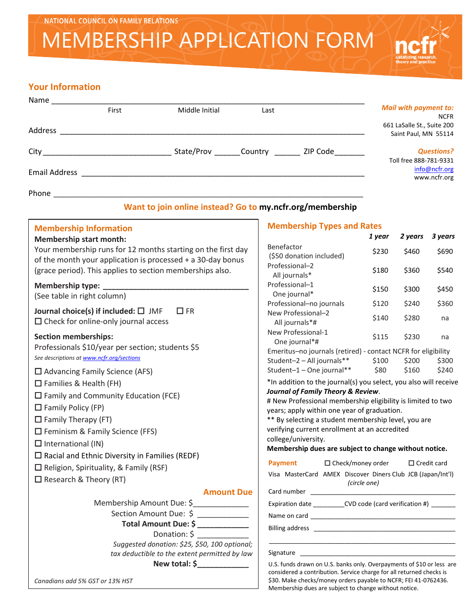# MEMBERSHIP APPLICATION FORM

# **Your Information**

| Name                         |       |                    |      |          |                                           |
|------------------------------|-------|--------------------|------|----------|-------------------------------------------|
|                              | First | Middle Initial     | Last |          | <b>Mail with payment to:</b>              |
|                              |       |                    |      |          | <b>NCFR</b><br>661 LaSalle St., Suite 200 |
| Address                      |       |                    |      |          | Saint Paul, MN 55114                      |
| City <b>Called Bank City</b> |       | State/Prov Country |      | ZIP Code | <b>Questions?</b>                         |
|                              |       |                    |      |          | Toll free 888-781-9331                    |
| <b>Email Address</b>         |       |                    |      |          | info@ncfr.org<br>www.ncfr.org             |
| Phone                        |       |                    |      |          |                                           |

### **Want to join online instead? Go to my.ncfr.org/membership**

# **Membership Information**

## **Membership start month:**

Your membership runs for 12 months starting on the first day of the month your application is processed + a 30-day bonus (grace period). This applies to section memberships also.

# **Membership type: \_\_\_\_\_\_\_\_\_\_\_\_\_\_\_\_\_\_\_\_\_\_\_\_\_\_\_\_\_\_\_\_\_\_**

(See table in right column)

**Journal choice(s) if included:** □ JMF □ FR  $\square$  Check for online-only journal access

**Section memberships:** Professionals \$10/year per section; students \$5 *See descriptions a[t www.ncfr.org/sections](http://www.ncfr.org/sections)*

 $\square$  Advancing Family Science (AFS)

- $\square$  Families & Health (FH)
- Family and Community Education (FCE)
- $\Box$  Family Policy (FP)
- $\Box$  Family Therapy (FT)
- $\square$  Feminism & Family Science (FFS)
- $\Box$  International (IN)
- $\square$  Racial and Ethnic Diversity in Families (REDF)
- $\square$  Religion, Spirituality, & Family (RSF)
- $\Box$  Research & Theory (RT)

#### **Amount Due**

| Membership Amount Due: \$                     |
|-----------------------------------------------|
| Section Amount Due: \$                        |
| Total Amount Due: \$                          |
| Donation: \$                                  |
| Suggested donation: \$25, \$50, 100 optional; |
| tax deductible to the extent permitted by law |
| New total: \$                                 |

#### *Canadians add 5% GST or 13% HST*

#### **Membership Types and Rates**

|                                                                                                                                                                                                                                                                                                                                                                                                                         | 1 year       | 2 years     | 3 years            |
|-------------------------------------------------------------------------------------------------------------------------------------------------------------------------------------------------------------------------------------------------------------------------------------------------------------------------------------------------------------------------------------------------------------------------|--------------|-------------|--------------------|
| Benefactor<br>(\$50 donation included)                                                                                                                                                                                                                                                                                                                                                                                  | \$230        | \$460       | \$690              |
| Professional-2<br>All journals*                                                                                                                                                                                                                                                                                                                                                                                         | \$180        | \$360       | \$540              |
| Professional-1<br>One journal*                                                                                                                                                                                                                                                                                                                                                                                          | \$150        | \$300       | \$450              |
| Professional-no journals                                                                                                                                                                                                                                                                                                                                                                                                | \$120        | \$240       | \$360              |
| New Professional-2<br>All journals*#                                                                                                                                                                                                                                                                                                                                                                                    | \$140        | \$280       | na                 |
| New Professional-1<br>One journal*#                                                                                                                                                                                                                                                                                                                                                                                     | \$115        | \$230       | na                 |
| Emeritus-no journals (retired) - contact NCFR for eligibility                                                                                                                                                                                                                                                                                                                                                           |              |             |                    |
| Student-2 - All journals**                                                                                                                                                                                                                                                                                                                                                                                              |              | \$100 \$200 | \$300              |
| Student-1 - One journal**                                                                                                                                                                                                                                                                                                                                                                                               |              | \$80 \$160  | \$240              |
| *In addition to the journal(s) you select, you also will receive<br><b>Journal of Family Theory &amp; Review.</b><br># New Professional membership eligibility is limited to two<br>years; apply within one year of graduation.<br>** By selecting a student membership level, you are<br>verifying current enrollment at an accredited<br>college/university.<br>Membership dues are subject to change without notice. |              |             |                    |
| <b>Payment</b><br>$\Box$ Check/money order                                                                                                                                                                                                                                                                                                                                                                              |              |             | $\Box$ Credit card |
| Visa MasterCard AMEX Discover Diners Club JCB (Japan/Int'l)                                                                                                                                                                                                                                                                                                                                                             | (circle one) |             |                    |
| Card number                                                                                                                                                                                                                                                                                                                                                                                                             |              |             |                    |
| Expiration date _____________CVD code (card verification #) ________                                                                                                                                                                                                                                                                                                                                                    |              |             |                    |
|                                                                                                                                                                                                                                                                                                                                                                                                                         |              |             |                    |
|                                                                                                                                                                                                                                                                                                                                                                                                                         |              |             |                    |
| Signature                                                                                                                                                                                                                                                                                                                                                                                                               |              |             |                    |
| U.S. funds drawn on U.S. banks only Overnayments of \$10 or less are                                                                                                                                                                                                                                                                                                                                                    |              |             |                    |

U.S. funds drawn on U.S. banks only. Overpayments of \$10 or less are considered a contribution. Service charge for all returned checks is \$30. Make checks/money orders payable to NCFR; FEI 41-0762436. Membership dues are subject to change without notice.